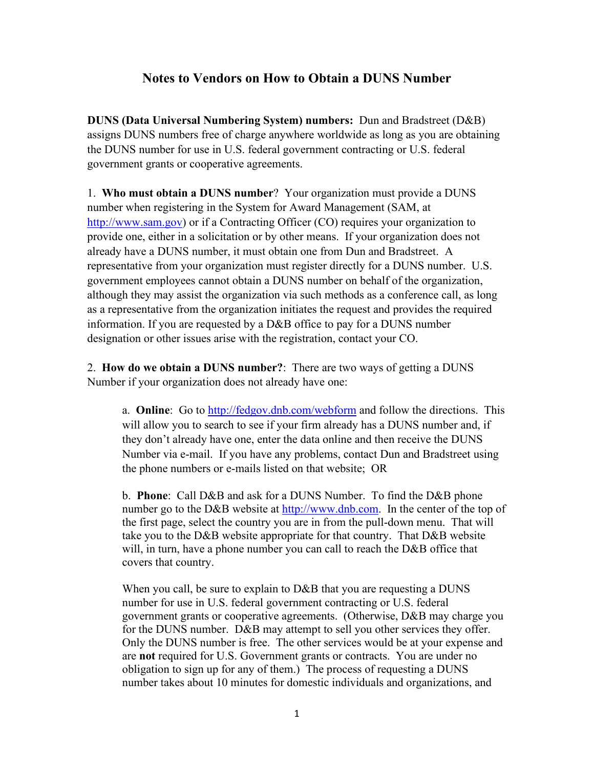### **Notes to Vendors on How to Obtain a DUNS Number**

**DUNS (Data Universal Numbering System) numbers:** Dun and Bradstreet (D&B) assigns DUNS numbers free of charge anywhere worldwide as long as you are obtaining the DUNS number for use in U.S. federal government contracting or U.S. federal government grants or cooperative agreements.

1. **Who must obtain a DUNS number**? Your organization must provide a DUNS number when registering in the System for Award Management (SAM, at [http://www.sam.gov\)](http://www.sam.gov/) or if a Contracting Officer (CO) requires your organization to provide one, either in a solicitation or by other means. If your organization does not already have a DUNS number, it must obtain one from Dun and Bradstreet. A representative from your organization must register directly for a DUNS number. U.S. government employees cannot obtain a DUNS number on behalf of the organization, although they may assist the organization via such methods as a conference call, as long as a representative from the organization initiates the request and provides the required information. If you are requested by a D&B office to pay for a DUNS number designation or other issues arise with the registration, contact your CO.

2. **How do we obtain a DUNS number?**: There are two ways of getting a DUNS Number if your organization does not already have one:

a. **Online**: Go to<http://fedgov.dnb.com/webform> and follow the directions. This will allow you to search to see if your firm already has a DUNS number and, if they don't already have one, enter the data online and then receive the DUNS Number via e-mail. If you have any problems, contact Dun and Bradstreet using the phone numbers or e-mails listed on that website; OR

b. **Phone**: Call D&B and ask for a DUNS Number. To find the D&B phone number go to the D&B website at [http://www.dnb.com.](http://www.dnb.com/) In the center of the top of the first page, select the country you are in from the pull-down menu. That will take you to the D&B website appropriate for that country. That D&B website will, in turn, have a phone number you can call to reach the D&B office that covers that country.

When you call, be sure to explain to D&B that you are requesting a DUNS number for use in U.S. federal government contracting or U.S. federal government grants or cooperative agreements. (Otherwise, D&B may charge you for the DUNS number. D&B may attempt to sell you other services they offer. Only the DUNS number is free. The other services would be at your expense and are **not** required for U.S. Government grants or contracts. You are under no obligation to sign up for any of them.) The process of requesting a DUNS number takes about 10 minutes for domestic individuals and organizations, and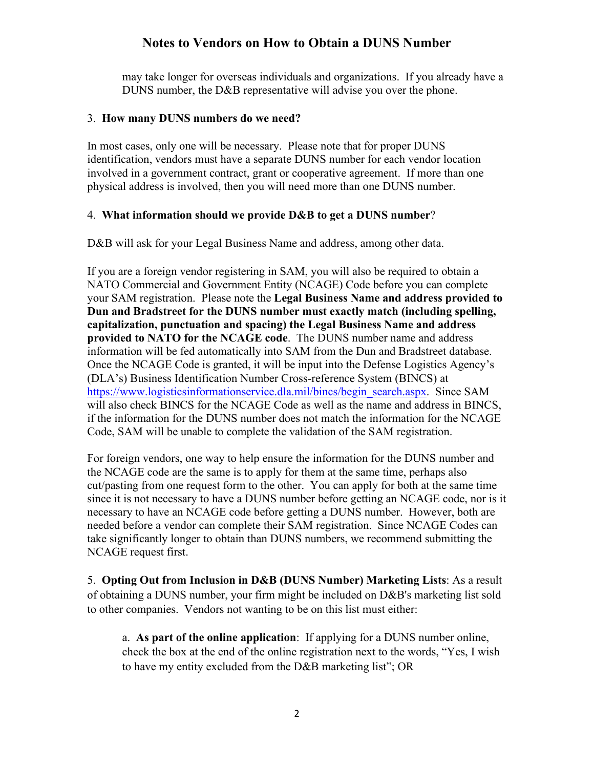## **Notes to Vendors on How to Obtain a DUNS Number**

may take longer for overseas individuals and organizations. If you already have a DUNS number, the D&B representative will advise you over the phone.

#### 3. **How many DUNS numbers do we need?**

In most cases, only one will be necessary. Please note that for proper DUNS identification, vendors must have a separate DUNS number for each vendor location involved in a government contract, grant or cooperative agreement. If more than one physical address is involved, then you will need more than one DUNS number.

#### 4. **What information should we provide D&B to get a DUNS number**?

D&B will ask for your Legal Business Name and address, among other data.

If you are a foreign vendor registering in SAM, you will also be required to obtain a NATO Commercial and Government Entity (NCAGE) Code before you can complete your SAM registration. Please note the **Legal Business Name and address provided to Dun and Bradstreet for the DUNS number must exactly match (including spelling, capitalization, punctuation and spacing) the Legal Business Name and address provided to NATO for the NCAGE code**. The DUNS number name and address information will be fed automatically into SAM from the Dun and Bradstreet database. Once the NCAGE Code is granted, it will be input into the Defense Logistics Agency's (DLA's) Business Identification Number Cross-reference System (BINCS) at [https://www.logisticsinformationservice.dla.mil/bincs/begin\\_search.aspx.](https://www.logisticsinformationservice.dla.mil/bincs/begin_search.aspx) Since SAM will also check BINCS for the NCAGE Code as well as the name and address in BINCS, if the information for the DUNS number does not match the information for the NCAGE Code, SAM will be unable to complete the validation of the SAM registration.

For foreign vendors, one way to help ensure the information for the DUNS number and the NCAGE code are the same is to apply for them at the same time, perhaps also cut/pasting from one request form to the other. You can apply for both at the same time since it is not necessary to have a DUNS number before getting an NCAGE code, nor is it necessary to have an NCAGE code before getting a DUNS number. However, both are needed before a vendor can complete their SAM registration. Since NCAGE Codes can take significantly longer to obtain than DUNS numbers, we recommend submitting the NCAGE request first.

5. **Opting Out from Inclusion in D&B (DUNS Number) Marketing Lists**: As a result of obtaining a DUNS number, your firm might be included on D&B's marketing list sold to other companies. Vendors not wanting to be on this list must either:

a. **As part of the online application**: If applying for a DUNS number online, check the box at the end of the online registration next to the words, "Yes, I wish to have my entity excluded from the D&B marketing list"; OR